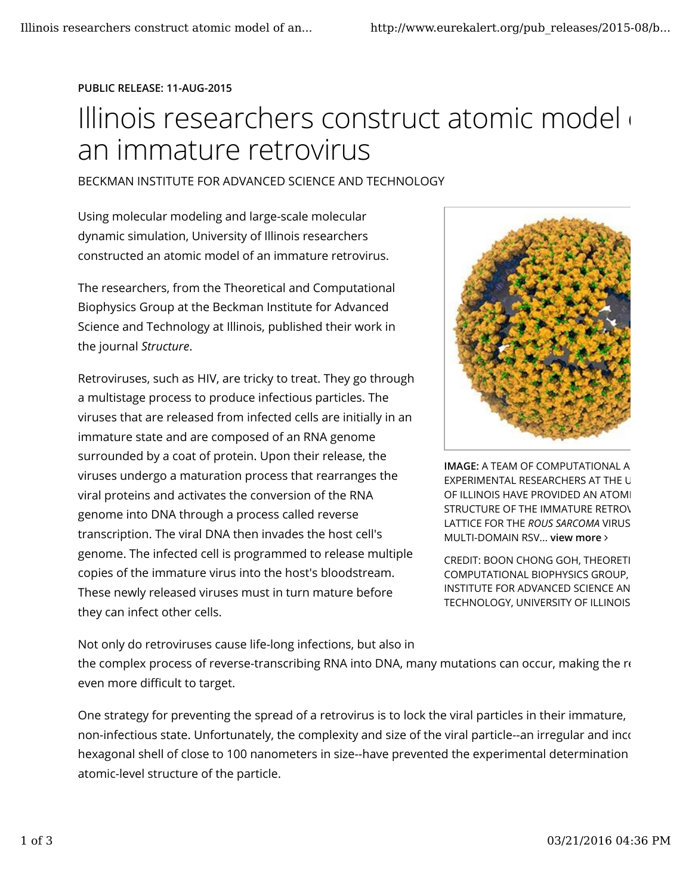## PUBLIC RELEASE: 11-AUG-2015

## Illinois researchers construct atomic model an immature retrovirus

## BECKMAN INSTITUTE FOR ADVANCED SCIENCE AND TECHNOLOGY

Using molecular modeling and large-scale molecular dynamic simulation, University of Illinois researchers constructed an atomic model of an immature retrovirus.

The researchers, from the Theoretical and Computational Biophysics Group at the Beckman Institute for Advanced Science and Technology at Illinois, published their work in the journal Structure.

Retroviruses, such as HIV, are tricky to treat. They go through a multistage process to produce infectious particles. The viruses that are released from infected cells are initially in an immature state and are composed of an RNA genome surrounded by a coat of protein. Upon their release, the viruses undergo a maturation process that rearranges the viral proteins and activates the conversion of the RNA genome into DNA through a process called reverse transcription. The viral DNA then invades the host cell's genome. The infected cell is programmed to release multiple copies of the immature virus into the host's bloodstream. These newly released viruses must in turn mature before they can infect other cells.



**IMAGE: A TEAM OF COMPUTATIONAL A EXPERIMENTAL RESEARCHERS AT THE U** OF ILLINOIS HAVE PROVIDED AN ATOMI STRUCTURE OF THE IMMATURE RETROV LATTICE FOR THE ROUS SARCOMA VIRUS. MULTI-DOMAIN RSV... view more

CREDIT: BOON CHONG GOH, THEORETI COMPUTATIONAL BIOPHYSICS GROUP, INSTITUTE FOR ADVANCED SCIENCE AN TECHNOLOGY, UNIVERSITY OF ILLINOIS

Not only do retroviruses cause life-long infections, but also in the complex process of reverse-transcribing RNA into DNA, many mutations can occur, making the  $r_{\rm t}$ even more difficult to target.

One strategy for preventing the spread of a retrovirus is to lock the viral particles in their immature, non-infectious state. Unfortunately, the complexity and size of the viral particle--an irregular and incom hexagonal shell of close to 100 nanometers in size--have prevented the experimental determination atomic-level structure of the particle.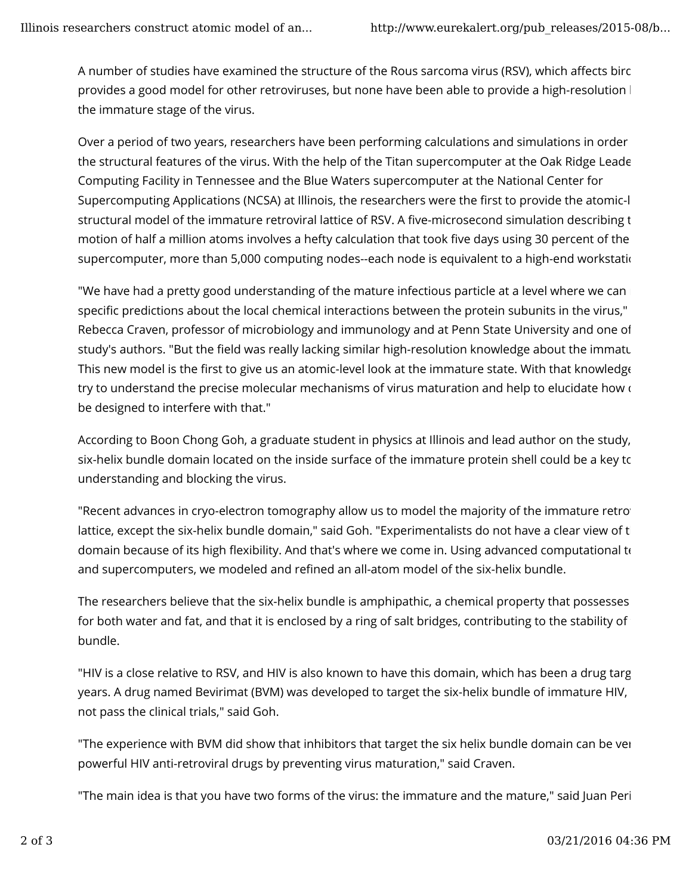A number of studies have examined the structure of the Rous sarcoma virus (RSV), which affects birc provides a good model for other retroviruses, but none have been able to provide a high-resolution  $\mathsf{I}$ the immature stage of the virus.

Over a period of two years, researchers have been performing calculations and simulations in order the structural features of the virus. With the help of the Titan supercomputer at the Oak Ridge Leade Computing Facility in Tennessee and the Blue Waters supercomputer at the National Center for Supercomputing Applications (NCSA) at Illinois, the researchers were the first to provide the atomic-l structural model of the immature retroviral lattice of RSV. A five-microsecond simulation describing t motion of half a million atoms involves a hefty calculation that took five days using 30 percent of the supercomputer, more than 5,000 computing nodes--each node is equivalent to a high-end workstation.

"We have had a pretty good understanding of the mature infectious particle at a level where we can  $\blacksquare$ specific predictions about the local chemical interactions between the protein subunits in the virus," Rebecca Craven, professor of microbiology and immunology and at Penn State University and one of study's authors. "But the field was really lacking similar high-resolution knowledge about the immatu This new model is the first to give us an atomic-level look at the immature state. With that knowledge try to understand the precise molecular mechanisms of virus maturation and help to elucidate how d be designed to interfere with that."

According to Boon Chong Goh, a graduate student in physics at Illinois and lead author on the study, six-helix bundle domain located on the inside surface of the immature protein shell could be a key to understanding and blocking the virus.

"Recent advances in cryo-electron tomography allow us to model the majority of the immature retroir lattice, except the six-helix bundle domain," said Goh. "Experimentalists do not have a clear view of t domain because of its high flexibility. And that's where we come in. Using advanced computational to and supercomputers, we modeled and refined an all-atom model of the six-helix bundle.

The researchers believe that the six-helix bundle is amphipathic, a chemical property that possesses for both water and fat, and that it is enclosed by a ring of salt bridges, contributing to the stability of bundle.

"HIV is a close relative to RSV, and HIV is also known to have this domain, which has been a drug targ years. A drug named Bevirimat (BVM) was developed to target the six-helix bundle of immature HIV, not pass the clinical trials," said Goh.

"The experience with BVM did show that inhibitors that target the six helix bundle domain can be ver powerful HIV anti-retroviral drugs by preventing virus maturation," said Craven.

"The main idea is that you have two forms of the virus: the immature and the mature," said Juan Peril